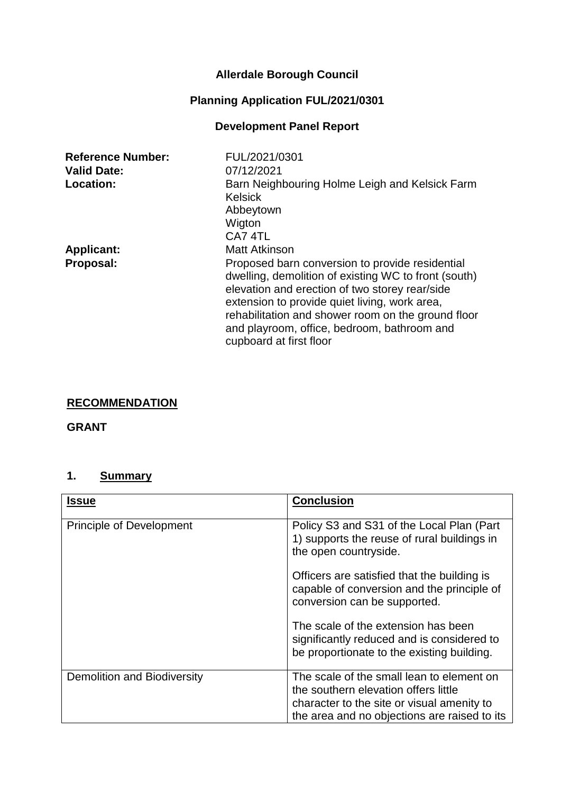# **Allerdale Borough Council**

# **Planning Application FUL/2021/0301**

## **Development Panel Report**

| <b>Reference Number:</b> | FUL/2021/0301                                                                                                                                                                                                                                                                                                                              |
|--------------------------|--------------------------------------------------------------------------------------------------------------------------------------------------------------------------------------------------------------------------------------------------------------------------------------------------------------------------------------------|
| <b>Valid Date:</b>       | 07/12/2021                                                                                                                                                                                                                                                                                                                                 |
| <b>Location:</b>         | Barn Neighbouring Holme Leigh and Kelsick Farm<br><b>Kelsick</b><br>Abbeytown                                                                                                                                                                                                                                                              |
|                          | Wigton<br>CA7 4TL                                                                                                                                                                                                                                                                                                                          |
| <b>Applicant:</b>        | <b>Matt Atkinson</b>                                                                                                                                                                                                                                                                                                                       |
| Proposal:                | Proposed barn conversion to provide residential<br>dwelling, demolition of existing WC to front (south)<br>elevation and erection of two storey rear/side<br>extension to provide quiet living, work area,<br>rehabilitation and shower room on the ground floor<br>and playroom, office, bedroom, bathroom and<br>cupboard at first floor |

## **RECOMMENDATION**

#### **GRANT**

## **1. Summary**

| <b>Issue</b>                       | <b>Conclusion</b>                                                                                                                                                               |
|------------------------------------|---------------------------------------------------------------------------------------------------------------------------------------------------------------------------------|
| <b>Principle of Development</b>    | Policy S3 and S31 of the Local Plan (Part)<br>1) supports the reuse of rural buildings in<br>the open countryside.                                                              |
|                                    | Officers are satisfied that the building is<br>capable of conversion and the principle of<br>conversion can be supported.                                                       |
|                                    | The scale of the extension has been<br>significantly reduced and is considered to<br>be proportionate to the existing building.                                                 |
| <b>Demolition and Biodiversity</b> | The scale of the small lean to element on<br>the southern elevation offers little<br>character to the site or visual amenity to<br>the area and no objections are raised to its |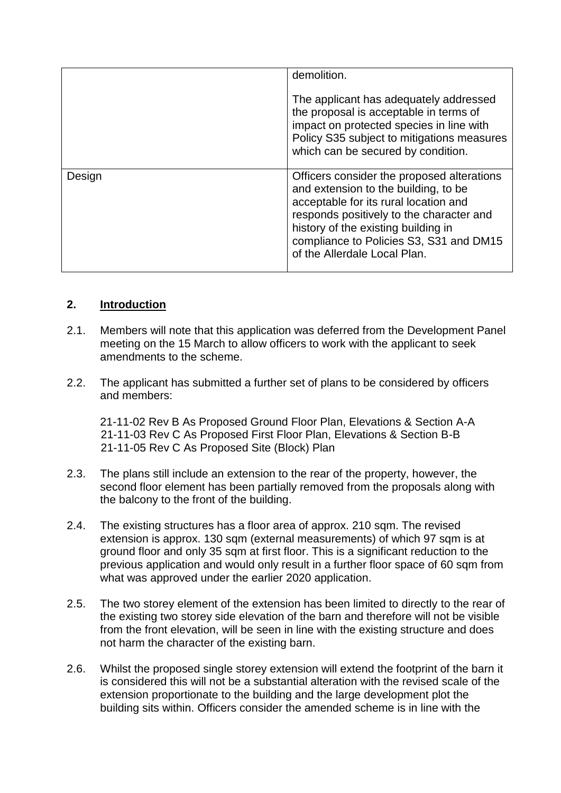|        | demolition.                                                                                                                                                                                                                                                                               |
|--------|-------------------------------------------------------------------------------------------------------------------------------------------------------------------------------------------------------------------------------------------------------------------------------------------|
|        | The applicant has adequately addressed<br>the proposal is acceptable in terms of<br>impact on protected species in line with<br>Policy S35 subject to mitigations measures<br>which can be secured by condition.                                                                          |
| Design | Officers consider the proposed alterations<br>and extension to the building, to be<br>acceptable for its rural location and<br>responds positively to the character and<br>history of the existing building in<br>compliance to Policies S3, S31 and DM15<br>of the Allerdale Local Plan. |

## **2. Introduction**

- 2.1. Members will note that this application was deferred from the Development Panel meeting on the 15 March to allow officers to work with the applicant to seek amendments to the scheme.
- 2.2. The applicant has submitted a further set of plans to be considered by officers and members:

21-11-02 Rev B As Proposed Ground Floor Plan, Elevations & Section A-A 21-11-03 Rev C As Proposed First Floor Plan, Elevations & Section B-B 21-11-05 Rev C As Proposed Site (Block) Plan

- 2.3. The plans still include an extension to the rear of the property, however, the second floor element has been partially removed from the proposals along with the balcony to the front of the building.
- 2.4. The existing structures has a floor area of approx. 210 sqm. The revised extension is approx. 130 sqm (external measurements) of which 97 sqm is at ground floor and only 35 sqm at first floor. This is a significant reduction to the previous application and would only result in a further floor space of 60 sqm from what was approved under the earlier 2020 application.
- 2.5. The two storey element of the extension has been limited to directly to the rear of the existing two storey side elevation of the barn and therefore will not be visible from the front elevation, will be seen in line with the existing structure and does not harm the character of the existing barn.
- 2.6. Whilst the proposed single storey extension will extend the footprint of the barn it is considered this will not be a substantial alteration with the revised scale of the extension proportionate to the building and the large development plot the building sits within. Officers consider the amended scheme is in line with the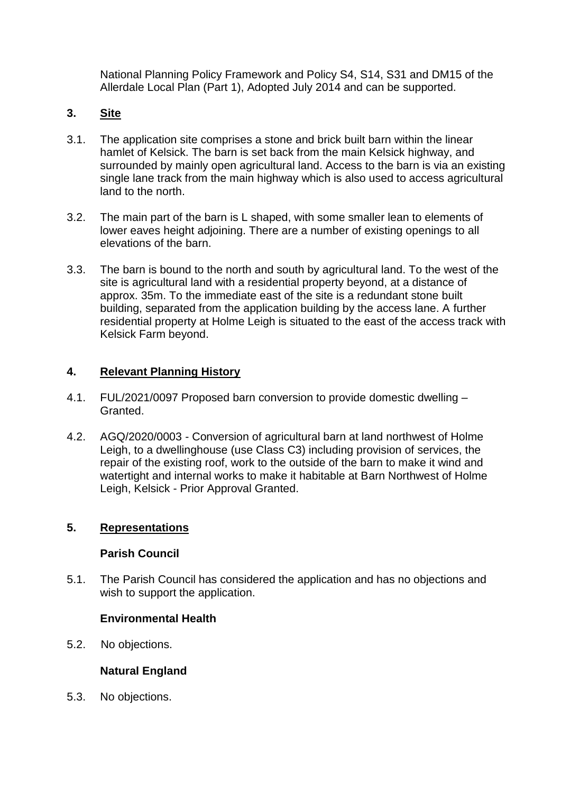National Planning Policy Framework and Policy S4, S14, S31 and DM15 of the Allerdale Local Plan (Part 1), Adopted July 2014 and can be supported.

## **3. Site**

- 3.1. The application site comprises a stone and brick built barn within the linear hamlet of Kelsick. The barn is set back from the main Kelsick highway, and surrounded by mainly open agricultural land. Access to the barn is via an existing single lane track from the main highway which is also used to access agricultural land to the north.
- 3.2. The main part of the barn is L shaped, with some smaller lean to elements of lower eaves height adjoining. There are a number of existing openings to all elevations of the barn.
- 3.3. The barn is bound to the north and south by agricultural land. To the west of the site is agricultural land with a residential property beyond, at a distance of approx. 35m. To the immediate east of the site is a redundant stone built building, separated from the application building by the access lane. A further residential property at Holme Leigh is situated to the east of the access track with Kelsick Farm beyond.

## **4. Relevant Planning History**

- 4.1. FUL/2021/0097 Proposed barn conversion to provide domestic dwelling Granted.
- 4.2. AGQ/2020/0003 Conversion of agricultural barn at land northwest of Holme Leigh, to a dwellinghouse (use Class C3) including provision of services, the repair of the existing roof, work to the outside of the barn to make it wind and watertight and internal works to make it habitable at Barn Northwest of Holme Leigh, Kelsick - Prior Approval Granted.

## **5. Representations**

## **Parish Council**

5.1. The Parish Council has considered the application and has no objections and wish to support the application.

## **Environmental Health**

5.2. No objections.

## **Natural England**

5.3. No objections.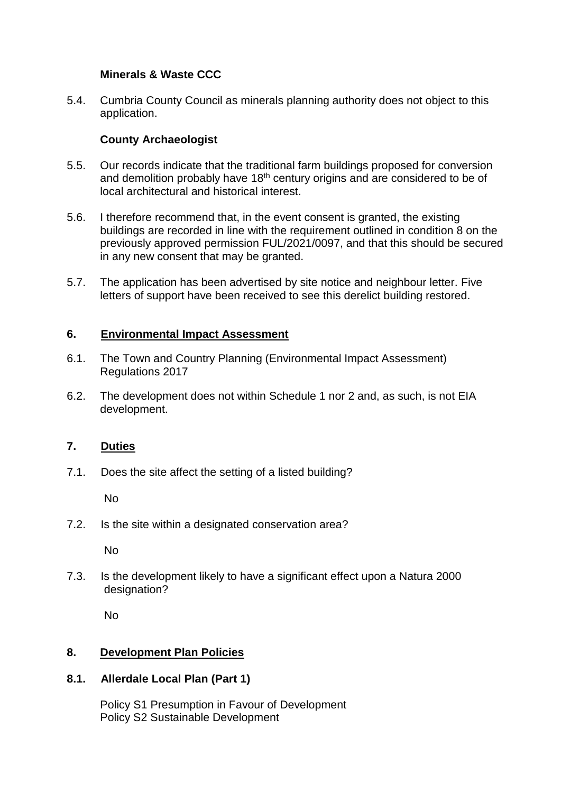### **Minerals & Waste CCC**

5.4. Cumbria County Council as minerals planning authority does not object to this application.

### **County Archaeologist**

- 5.5. Our records indicate that the traditional farm buildings proposed for conversion and demolition probably have 18<sup>th</sup> century origins and are considered to be of local architectural and historical interest.
- 5.6. I therefore recommend that, in the event consent is granted, the existing buildings are recorded in line with the requirement outlined in condition 8 on the previously approved permission FUL/2021/0097, and that this should be secured in any new consent that may be granted.
- 5.7. The application has been advertised by site notice and neighbour letter. Five letters of support have been received to see this derelict building restored.

#### **6. Environmental Impact Assessment**

- 6.1. The Town and Country Planning (Environmental Impact Assessment) Regulations 2017
- 6.2. The development does not within Schedule 1 nor 2 and, as such, is not EIA development.

#### **7. Duties**

7.1. Does the site affect the setting of a listed building?

No

7.2. Is the site within a designated conservation area?

No

7.3. Is the development likely to have a significant effect upon a Natura 2000 designation?

No

#### **8. Development Plan Policies**

#### **8.1. Allerdale Local Plan (Part 1)**

Policy S1 Presumption in Favour of Development Policy S2 Sustainable Development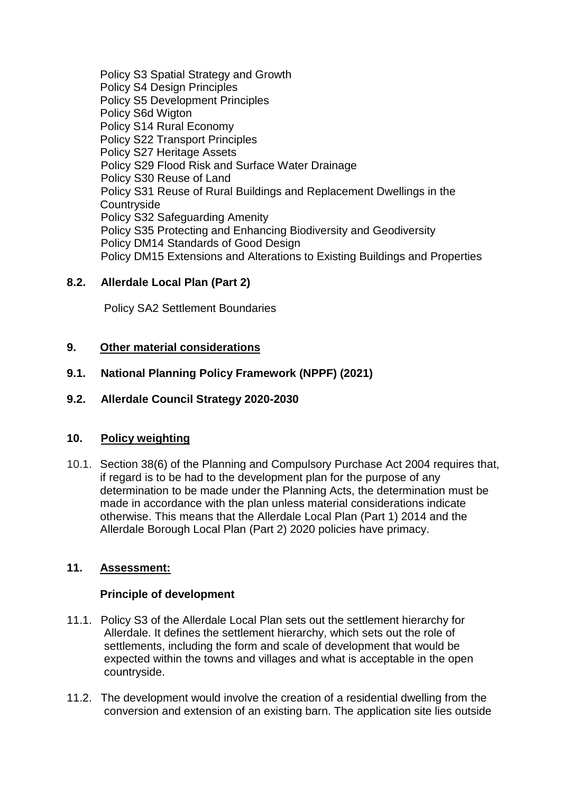Policy S3 Spatial Strategy and Growth Policy S4 Design Principles Policy S5 Development Principles Policy S6d Wigton Policy S14 Rural Economy Policy S22 Transport Principles Policy S27 Heritage Assets Policy S29 Flood Risk and Surface Water Drainage Policy S30 Reuse of Land Policy S31 Reuse of Rural Buildings and Replacement Dwellings in the **Countryside** Policy S32 Safeguarding Amenity Policy S35 Protecting and Enhancing Biodiversity and Geodiversity Policy DM14 Standards of Good Design Policy DM15 Extensions and Alterations to Existing Buildings and Properties

## **8.2. Allerdale Local Plan (Part 2)**

Policy SA2 Settlement Boundaries

#### **9. Other material considerations**

#### **9.1. National Planning Policy Framework (NPPF) (2021)**

#### **9.2. Allerdale Council Strategy 2020-2030**

#### **10. Policy weighting**

10.1. Section 38(6) of the Planning and Compulsory Purchase Act 2004 requires that, if regard is to be had to the development plan for the purpose of any determination to be made under the Planning Acts, the determination must be made in accordance with the plan unless material considerations indicate otherwise. This means that the Allerdale Local Plan (Part 1) 2014 and the Allerdale Borough Local Plan (Part 2) 2020 policies have primacy.

## **11. Assessment:**

#### **Principle of development**

- 11.1. Policy S3 of the Allerdale Local Plan sets out the settlement hierarchy for Allerdale. It defines the settlement hierarchy, which sets out the role of settlements, including the form and scale of development that would be expected within the towns and villages and what is acceptable in the open countryside.
- 11.2. The development would involve the creation of a residential dwelling from the conversion and extension of an existing barn. The application site lies outside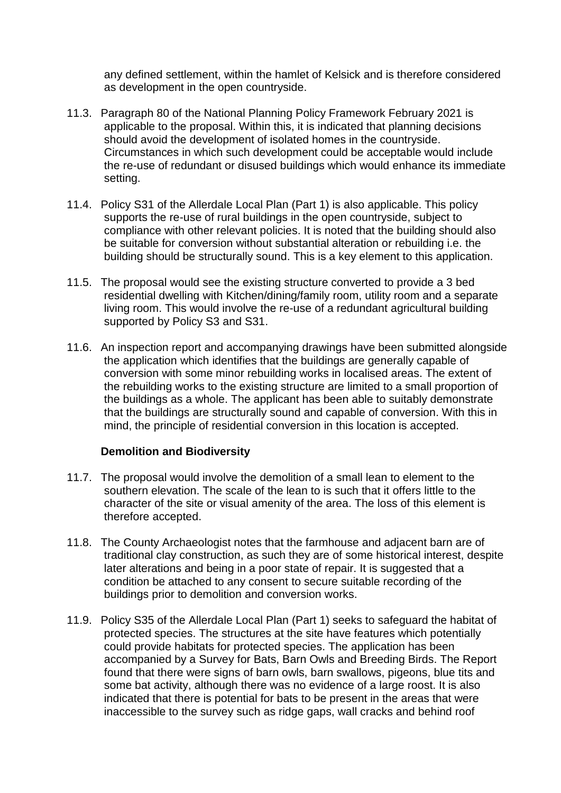any defined settlement, within the hamlet of Kelsick and is therefore considered as development in the open countryside.

- 11.3. Paragraph 80 of the National Planning Policy Framework February 2021 is applicable to the proposal. Within this, it is indicated that planning decisions should avoid the development of isolated homes in the countryside. Circumstances in which such development could be acceptable would include the re-use of redundant or disused buildings which would enhance its immediate setting.
- 11.4. Policy S31 of the Allerdale Local Plan (Part 1) is also applicable. This policy supports the re-use of rural buildings in the open countryside, subject to compliance with other relevant policies. It is noted that the building should also be suitable for conversion without substantial alteration or rebuilding i.e. the building should be structurally sound. This is a key element to this application.
- 11.5. The proposal would see the existing structure converted to provide a 3 bed residential dwelling with Kitchen/dining/family room, utility room and a separate living room. This would involve the re-use of a redundant agricultural building supported by Policy S3 and S31.
- 11.6. An inspection report and accompanying drawings have been submitted alongside the application which identifies that the buildings are generally capable of conversion with some minor rebuilding works in localised areas. The extent of the rebuilding works to the existing structure are limited to a small proportion of the buildings as a whole. The applicant has been able to suitably demonstrate that the buildings are structurally sound and capable of conversion. With this in mind, the principle of residential conversion in this location is accepted.

#### **Demolition and Biodiversity**

- 11.7. The proposal would involve the demolition of a small lean to element to the southern elevation. The scale of the lean to is such that it offers little to the character of the site or visual amenity of the area. The loss of this element is therefore accepted.
- 11.8. The County Archaeologist notes that the farmhouse and adjacent barn are of traditional clay construction, as such they are of some historical interest, despite later alterations and being in a poor state of repair. It is suggested that a condition be attached to any consent to secure suitable recording of the buildings prior to demolition and conversion works.
- 11.9. Policy S35 of the Allerdale Local Plan (Part 1) seeks to safeguard the habitat of protected species. The structures at the site have features which potentially could provide habitats for protected species. The application has been accompanied by a Survey for Bats, Barn Owls and Breeding Birds. The Report found that there were signs of barn owls, barn swallows, pigeons, blue tits and some bat activity, although there was no evidence of a large roost. It is also indicated that there is potential for bats to be present in the areas that were inaccessible to the survey such as ridge gaps, wall cracks and behind roof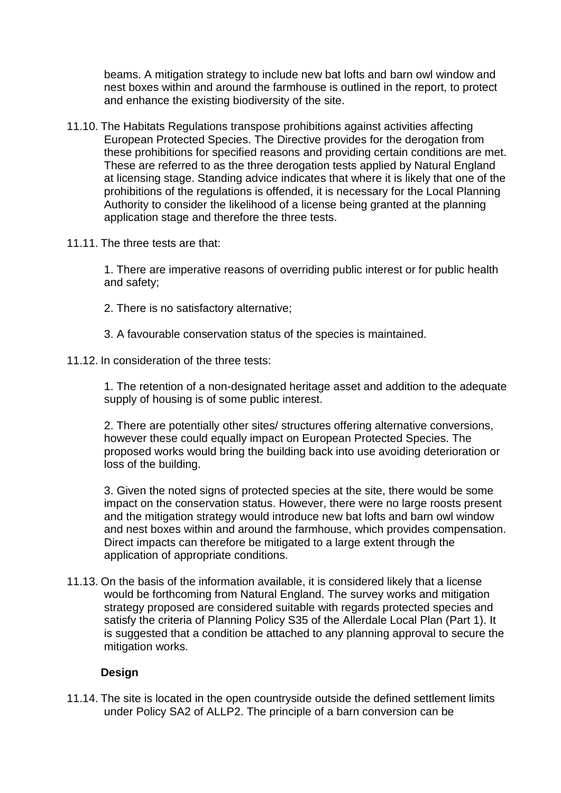beams. A mitigation strategy to include new bat lofts and barn owl window and nest boxes within and around the farmhouse is outlined in the report, to protect and enhance the existing biodiversity of the site.

- 11.10. The Habitats Regulations transpose prohibitions against activities affecting European Protected Species. The Directive provides for the derogation from these prohibitions for specified reasons and providing certain conditions are met. These are referred to as the three derogation tests applied by Natural England at licensing stage. Standing advice indicates that where it is likely that one of the prohibitions of the regulations is offended, it is necessary for the Local Planning Authority to consider the likelihood of a license being granted at the planning application stage and therefore the three tests.
- 11.11. The three tests are that:

1. There are imperative reasons of overriding public interest or for public health and safety;

- 2. There is no satisfactory alternative;
- 3. A favourable conservation status of the species is maintained.
- 11.12. In consideration of the three tests:

1. The retention of a non-designated heritage asset and addition to the adequate supply of housing is of some public interest.

2. There are potentially other sites/ structures offering alternative conversions, however these could equally impact on European Protected Species. The proposed works would bring the building back into use avoiding deterioration or loss of the building.

3. Given the noted signs of protected species at the site, there would be some impact on the conservation status. However, there were no large roosts present and the mitigation strategy would introduce new bat lofts and barn owl window and nest boxes within and around the farmhouse, which provides compensation. Direct impacts can therefore be mitigated to a large extent through the application of appropriate conditions.

11.13. On the basis of the information available, it is considered likely that a license would be forthcoming from Natural England. The survey works and mitigation strategy proposed are considered suitable with regards protected species and satisfy the criteria of Planning Policy S35 of the Allerdale Local Plan (Part 1). It is suggested that a condition be attached to any planning approval to secure the mitigation works.

## **Design**

11.14. The site is located in the open countryside outside the defined settlement limits under Policy SA2 of ALLP2. The principle of a barn conversion can be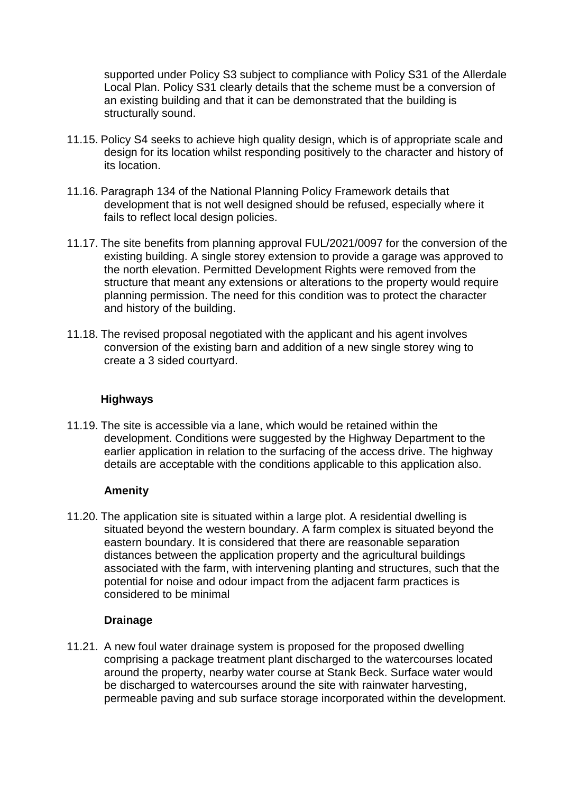supported under Policy S3 subject to compliance with Policy S31 of the Allerdale Local Plan. Policy S31 clearly details that the scheme must be a conversion of an existing building and that it can be demonstrated that the building is structurally sound.

- 11.15. Policy S4 seeks to achieve high quality design, which is of appropriate scale and design for its location whilst responding positively to the character and history of its location.
- 11.16. Paragraph 134 of the National Planning Policy Framework details that development that is not well designed should be refused, especially where it fails to reflect local design policies.
- 11.17. The site benefits from planning approval FUL/2021/0097 for the conversion of the existing building. A single storey extension to provide a garage was approved to the north elevation. Permitted Development Rights were removed from the structure that meant any extensions or alterations to the property would require planning permission. The need for this condition was to protect the character and history of the building.
- 11.18. The revised proposal negotiated with the applicant and his agent involves conversion of the existing barn and addition of a new single storey wing to create a 3 sided courtyard.

#### **Highways**

11.19. The site is accessible via a lane, which would be retained within the development. Conditions were suggested by the Highway Department to the earlier application in relation to the surfacing of the access drive. The highway details are acceptable with the conditions applicable to this application also.

#### **Amenity**

11.20. The application site is situated within a large plot. A residential dwelling is situated beyond the western boundary. A farm complex is situated beyond the eastern boundary. It is considered that there are reasonable separation distances between the application property and the agricultural buildings associated with the farm, with intervening planting and structures, such that the potential for noise and odour impact from the adjacent farm practices is considered to be minimal

#### **Drainage**

11.21. A new foul water drainage system is proposed for the proposed dwelling comprising a package treatment plant discharged to the watercourses located around the property, nearby water course at Stank Beck. Surface water would be discharged to watercourses around the site with rainwater harvesting, permeable paving and sub surface storage incorporated within the development.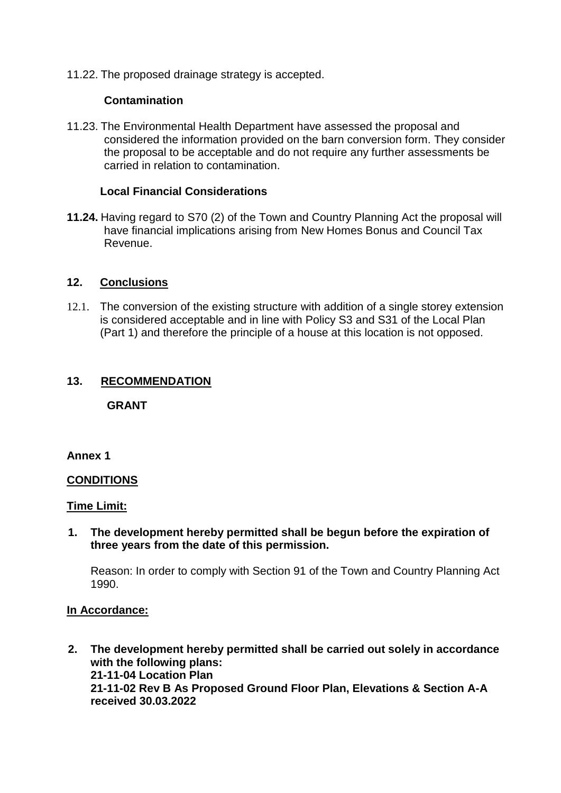11.22. The proposed drainage strategy is accepted.

#### **Contamination**

11.23. The Environmental Health Department have assessed the proposal and considered the information provided on the barn conversion form. They consider the proposal to be acceptable and do not require any further assessments be carried in relation to contamination.

#### **Local Financial Considerations**

**11.24.** Having regard to S70 (2) of the Town and Country Planning Act the proposal will have financial implications arising from New Homes Bonus and Council Tax Revenue.

#### **12. Conclusions**

12.1. The conversion of the existing structure with addition of a single storey extension is considered acceptable and in line with Policy S3 and S31 of the Local Plan (Part 1) and therefore the principle of a house at this location is not opposed.

#### **13. RECOMMENDATION**

**GRANT**

**Annex 1**

#### **CONDITIONS**

#### **Time Limit:**

**1. The development hereby permitted shall be begun before the expiration of three years from the date of this permission.**

Reason: In order to comply with Section 91 of the Town and Country Planning Act 1990.

#### **In Accordance:**

**2. The development hereby permitted shall be carried out solely in accordance with the following plans: 21-11-04 Location Plan 21-11-02 Rev B As Proposed Ground Floor Plan, Elevations & Section A-A received 30.03.2022**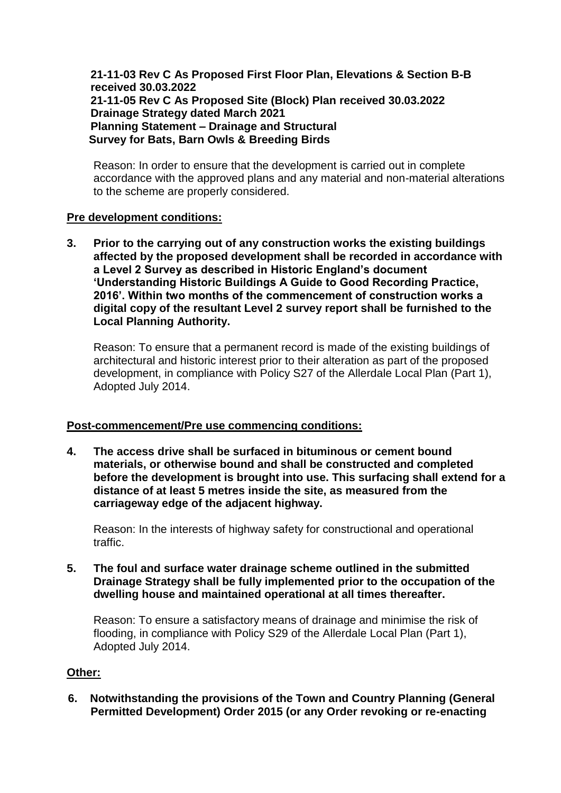**21-11-03 Rev C As Proposed First Floor Plan, Elevations & Section B-B received 30.03.2022 21-11-05 Rev C As Proposed Site (Block) Plan received 30.03.2022 Drainage Strategy dated March 2021 Planning Statement – Drainage and Structural Survey for Bats, Barn Owls & Breeding Birds**

Reason: In order to ensure that the development is carried out in complete accordance with the approved plans and any material and non-material alterations to the scheme are properly considered.

#### **Pre development conditions:**

**3. Prior to the carrying out of any construction works the existing buildings affected by the proposed development shall be recorded in accordance with a Level 2 Survey as described in Historic England's document 'Understanding Historic Buildings A Guide to Good Recording Practice, 2016'. Within two months of the commencement of construction works a digital copy of the resultant Level 2 survey report shall be furnished to the Local Planning Authority.**

Reason: To ensure that a permanent record is made of the existing buildings of architectural and historic interest prior to their alteration as part of the proposed development, in compliance with Policy S27 of the Allerdale Local Plan (Part 1), Adopted July 2014.

#### **Post-commencement/Pre use commencing conditions:**

**4. The access drive shall be surfaced in bituminous or cement bound materials, or otherwise bound and shall be constructed and completed before the development is brought into use. This surfacing shall extend for a distance of at least 5 metres inside the site, as measured from the carriageway edge of the adjacent highway.**

Reason: In the interests of highway safety for constructional and operational traffic.

**5. The foul and surface water drainage scheme outlined in the submitted Drainage Strategy shall be fully implemented prior to the occupation of the dwelling house and maintained operational at all times thereafter.**

Reason: To ensure a satisfactory means of drainage and minimise the risk of flooding, in compliance with Policy S29 of the Allerdale Local Plan (Part 1), Adopted July 2014.

## **Other:**

**6. Notwithstanding the provisions of the Town and Country Planning (General Permitted Development) Order 2015 (or any Order revoking or re-enacting**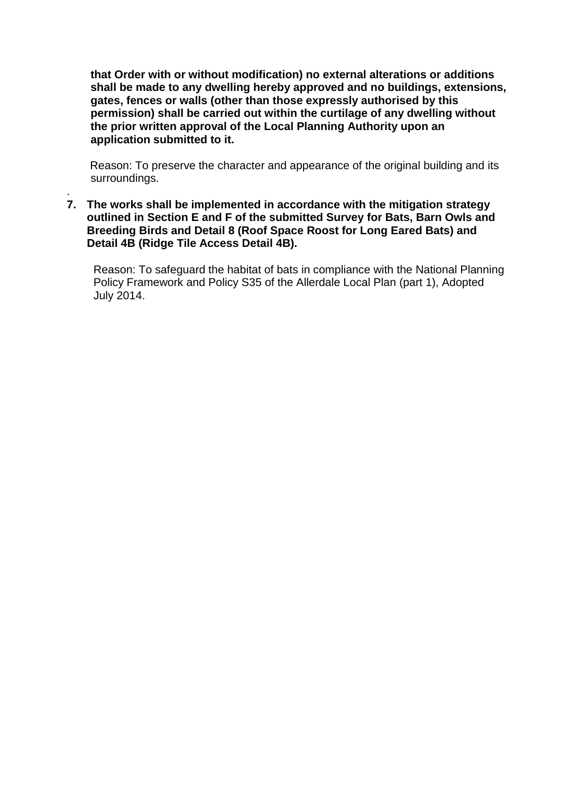**that Order with or without modification) no external alterations or additions shall be made to any dwelling hereby approved and no buildings, extensions, gates, fences or walls (other than those expressly authorised by this permission) shall be carried out within the curtilage of any dwelling without the prior written approval of the Local Planning Authority upon an application submitted to it.**

Reason: To preserve the character and appearance of the original building and its surroundings.

**7. The works shall be implemented in accordance with the mitigation strategy outlined in Section E and F of the submitted Survey for Bats, Barn Owls and Breeding Birds and Detail 8 (Roof Space Roost for Long Eared Bats) and Detail 4B (Ridge Tile Access Detail 4B).**

.

Reason: To safeguard the habitat of bats in compliance with the National Planning Policy Framework and Policy S35 of the Allerdale Local Plan (part 1), Adopted July 2014.